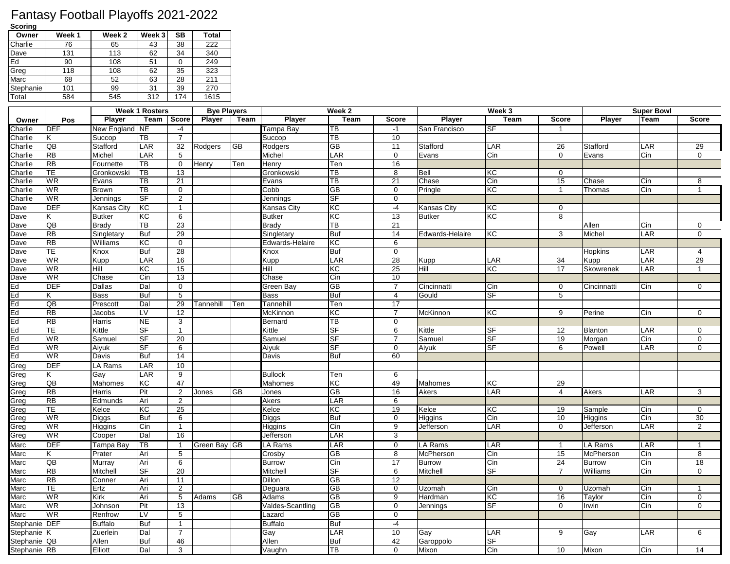## Fantasy Football Playoffs 2021-2022

**Scoring**

| Owner     | Week <sub>1</sub> | Week 2 | Week 3 | SВ  | <b>Total</b> |
|-----------|-------------------|--------|--------|-----|--------------|
| Charlie   | 76                | 65     | 43     | 38  | 222          |
| Dave      | 131               | 113    | 62     | 34  | 340          |
| Ed        | 90                | 108    | 51     |     | 249          |
| Greg      | 118               | 108    | 62     | 35  | 323          |
| Marc      | 68                | 52     | 63     | 28  | 211          |
| Stephanie | 101               | 99     | 31     | 39  | 270          |
| Total     | 584               | 545    | 312    | 174 | 1615         |

|               |                           |                    | <b>Week 1 Rosters</b>    |                 | <b>Bye Players</b> |      |                  | Week 2                    |                            |                   | Week 3                 |                 |               | <b>Super Bowl</b>        |                |
|---------------|---------------------------|--------------------|--------------------------|-----------------|--------------------|------|------------------|---------------------------|----------------------------|-------------------|------------------------|-----------------|---------------|--------------------------|----------------|
| Owner         | Pos                       | <b>Player</b>      | Team                     | Score           | <b>Player</b>      | Team | <b>Player</b>    | <b>Team</b>               | <b>Score</b>               | <b>Player</b>     | <b>Team</b>            | <b>Score</b>    | <b>Player</b> | <b>Team</b>              | <b>Score</b>   |
| Charlie       | DEF                       | New England        | <b>NE</b>                | $-4$            |                    |      | Tampa Bay        | TB                        | $-1$                       | San Francisco     | SF                     |                 |               |                          |                |
| Charlie       | K.                        | Succop             | TВ                       | $\overline{7}$  |                    |      | Succop           | TB                        | 10                         |                   |                        |                 |               |                          |                |
| Charlie       | QB                        | Stafford           | LAR                      | $\overline{32}$ | Rodgers            | GВ   | Rodgers          | $\overline{GB}$           | 11                         | Stafford          | LAR                    | 26              | Stafford      | LAR                      | 29             |
| Charlie       | $\overline{RB}$           | Michel             | LAR                      | 5               |                    |      | Michel           | $\overline{\mathsf{LAR}}$ | $\overline{0}$             | Evans             | Cin                    | $\mathbf 0$     | Evans         | Cin                      | $\Omega$       |
| Charlie       | $\overline{RB}$           | Fournette          | ТB                       | $\mathbf 0$     | Henry              | Ten  | Henry            | Ten                       | 16                         |                   |                        |                 |               |                          |                |
| Charlie       | TE                        | Gronkowski         | TВ                       | 13              |                    |      | Gronkowski       | TB                        | 8                          | Bell              | KC                     | $\mathbf 0$     |               |                          |                |
| Charlie       | WR                        | Evans              | TВ                       | 21              |                    |      | Evans            | $\overline{\text{TB}}$    | $\overline{21}$            | Chase             | Cin                    | 15              | Chase         | Cin                      | 8              |
| Charlie       | WR                        | <b>Brown</b>       | TВ                       | $\mathbf 0$     |                    |      | Cobb             | $\overline{GB}$           | $\overline{0}$             | Pringle           | КC                     | $\mathbf{1}$    | Thomas        | Cin                      | $\mathbf{1}$   |
| Charlie       | <b>WR</b>                 | Jennings           | SF                       | 2               |                    |      | Jennings         | SF                        | $\mathbf 0$                |                   |                        |                 |               |                          |                |
| Dave          | <b>DEF</b>                | Kansas City        | KC                       | $\mathbf{1}$    |                    |      | Kansas City      | <b>KC</b>                 | $-4$                       | Kansas City       | KC                     | $\mathbf 0$     |               |                          |                |
| Dave          | K.                        | <b>Butker</b>      | KC                       | 6               |                    |      | Butker           | KC                        | 13                         | <b>Butker</b>     | $\overline{\text{KC}}$ | 8               |               |                          |                |
| Dave          | QB                        | <b>Brady</b>       | TВ                       | 23              |                    |      | Brady            | $\overline{\text{TB}}$    | $\overline{21}$            |                   |                        |                 | Allen         | Cin                      | 0              |
| Dave          | <b>RB</b>                 | Singletary         | <b>Buf</b>               | 29              |                    |      | Singletary       | <b>Buf</b>                | 14                         | Edwards-Helaire   | KC                     | 3               | Michel        | LAR                      | $\mathbf 0$    |
| Dave          | <b>RB</b>                 | Williams           | KC                       | $\overline{0}$  |                    |      | Edwards-Helaire  | KC                        | $\overline{6}$             |                   |                        |                 |               |                          |                |
| Dave          | TE                        | Knox               | Buf                      | $\overline{28}$ |                    |      | Knox             | <b>Buf</b>                | $\overline{0}$             |                   |                        |                 | Hopkins       | LAR                      | $\overline{4}$ |
| Dave          | <b>WR</b>                 | <b>Kupp</b>        | LAR                      | 16              |                    |      | Kupp             | LAR                       | 28                         | Kupp              | LAR                    | 34              | Kupp          | LAR                      | 29             |
| Dave          | WR                        | Hill               | КC                       | 15              |                    |      | Hill             | $\overline{K}$            | 25                         | <b>THill</b>      | $\overline{\text{KC}}$ | $\overline{17}$ | Skowrenek     | LAR                      | $\mathbf{1}$   |
| Dave          | WR                        | Chase              | $\overline{\text{C}}$ in | 13              |                    |      | Chase            | $\overline{\text{C}}$ in  | 10                         |                   |                        |                 |               |                          |                |
| Ed            | $\overline{\mathsf{DEF}}$ | Dallas             | Dal                      | $\mathbf 0$     |                    |      | Green Bay        | $\overline{GB}$           | $\overline{7}$             | Cincinnatti       | Cin                    | $\mathbf 0$     | Cincinnatti   | Cin                      | $\mathbf 0$    |
| Ed            | K.                        | <b>Bass</b>        | <b>Buf</b>               | 5               |                    |      | <b>Bass</b>      | <b>Buf</b>                | $\overline{4}$             | Gould             | <b>SF</b>              | 5               |               |                          |                |
| Ed            | QВ                        | Prescott           | Dal                      | 29              | Tannehill          | Ten  | Tannehill        | Ten                       | 17                         |                   |                        |                 |               |                          |                |
| Ed            | RB                        | Jacobs             | LV                       | 12              |                    |      | McKinnon         | КC                        | $\overline{7}$             | McKinnon          | KC                     | 9               | Perine        | Cin                      | $\mathbf 0$    |
| Ed            | <b>RB</b>                 | Harris             | <b>NE</b>                | $\sqrt{3}$      |                    |      | Bernard          | $\overline{\text{TB}}$    | $\mathbf 0$                |                   |                        |                 |               |                          |                |
| Ed            | TE                        | Kittle             | <b>SF</b>                | $\mathbf{1}$    |                    |      | Kittle           | SF                        | 6                          | Kittle            | SF                     | 12              | Blanton       | LAR                      | 0              |
| Ed            | <b>WR</b>                 | Samuel             | <b>SF</b>                | 20              |                    |      | Samuel           | <b>SF</b>                 | $\overline{7}$             | Samuel            | SF                     | 19              | Morgan        | Cin                      | $\mathbf 0$    |
| Ed            | WR                        | Aiyuk              | <b>SF</b>                | 6               |                    |      | Aiyuk            | <b>SF</b>                 | $\mathbf 0$                | Aiyuk             | SF                     | 6               | Powell        | $\overline{\mathsf{AR}}$ | $\Omega$       |
| Ed            | WR                        | Davis              | <b>Buf</b>               | 14              |                    |      | Davis            | <b>Buf</b>                | 60                         |                   |                        |                 |               |                          |                |
| Greg          | DEF                       | LA Rams            | LAR                      | 10              |                    |      |                  |                           |                            |                   |                        |                 |               |                          |                |
| Greg          | K.                        | Gay                | LAR                      | 9               |                    |      | <b>Bullock</b>   | Ten                       | 6                          |                   |                        |                 |               |                          |                |
| Greg          | QB                        | Mahomes            | КC                       | 47              |                    |      | Mahomes          | KC                        | 49                         | <b>Mahomes</b>    | КC                     | 29              |               |                          |                |
| Greg          | <b>RB</b>                 | Harris             | Pit                      | $\overline{2}$  | Jones              | GВ   | Jones            | <b>GB</b>                 | 16                         | Akers             | LAR                    | $\overline{4}$  | Akers         | LAR                      | 3              |
| Greg          | RB                        | Edmunds            | Ari                      | $\overline{2}$  |                    |      | Akers            | LAR                       | $\overline{6}$             |                   |                        |                 |               |                          |                |
| Greg          | <b>TE</b>                 | Kelce              | КC                       | 25              |                    |      | Kelce            | KC                        | 19                         | Kelce             | КC                     | 19              | Sample        | Cin                      | $\mathbf 0$    |
| Greg          | <b>WR</b>                 | Diggs              | <b>Buf</b>               | $\,6\,$         |                    |      | Diggs            | <b>Buf</b>                | $\mathbf 0$                | Higgins           | Cin                    | 10              | Higgins       | Cin                      | 30             |
| Greg          | WR                        | Higgins            | Cin                      | $\mathbf{1}$    |                    |      | Higgins          | Cin                       | $\overline{9}$             | Jefferson         | LAR                    | $\overline{0}$  | Jefferson     | LAR                      | $\overline{2}$ |
| Greg          | <b>WR</b>                 | Cooper             | Dal                      | 16              |                    |      | Jefferson        | LAR                       | 3                          |                   |                        |                 |               |                          |                |
| Marc          | $\overline{DEF}$          | Tampa Bay          | TB                       | $\mathbf{1}$    | Green Bay GB       |      | LA Rams          | LAR                       | $\mathbf 0$                | LA Rams           | LAR                    | $\mathbf{1}$    | LA Rams       | LAR                      | $\mathbf 1$    |
|               | K.                        | Prater             | Ari                      | 5               |                    |      | Crosby           | GB                        | 8                          | McPherson         | Cin                    | 15              | McPherson     | Cin                      | 8              |
| Marc          | QB                        | Murray             | Ari                      | 6               |                    |      | Burrow           | Cin                       | 17                         | <b>Burrow</b>     | Cin                    | $\overline{24}$ | <b>Burrow</b> | Cin                      | 18             |
| Marc          | RB                        | Mitchell           | <b>SF</b>                | 20              |                    |      | Mitchell         | <b>SF</b>                 | 6                          | Mitchell          | SF                     | $\overline{7}$  | Williams      | Cin                      | $\mathbf 0$    |
| Marc          | <b>RB</b>                 |                    |                          | 11              |                    |      |                  |                           | 12                         |                   |                        |                 |               |                          |                |
| Marc          | TE.                       | Conner<br>Ertz     | Ari                      | $\overline{2}$  |                    |      | Dillon           | GB<br>GB                  | $\mathbf 0$                |                   | Cin                    | 0               |               | Cin                      | 1              |
| Marc          | <b>WR</b>                 | <b>Kirk</b>        | Ari<br>Ari               | 5               | Adams              | GB   | Deguara<br>Adams | $\overline{GB}$           | 9                          | Uzomah<br>Hardman | КC                     | 16              | Uzomah        | Cin                      | $\mathbf 0$    |
| Marc          |                           |                    |                          |                 |                    |      |                  |                           |                            |                   |                        |                 | Taylor        |                          | $\Omega$       |
| Marc          | WR<br><b>WR</b>           | Johnson<br>Renfrow | Pit<br>LV                | 13<br>5         |                    |      | Valdes-Scantling | GB<br>$\overline{GB}$     | $\mathbf 0$<br>$\mathbf 0$ | Jennings          | <b>SF</b>              | 0               | Irwin         | Cin                      |                |
| Marc          |                           |                    |                          |                 |                    |      | Lazard           |                           |                            |                   |                        |                 |               |                          |                |
| Stephanie DEF |                           | <b>Buffalo</b>     | <b>Buf</b>               | $\mathbf{1}$    |                    |      | Buffalo          | <b>Buf</b>                | $-4$                       |                   |                        |                 |               |                          |                |
| Stephanie     |                           | Zuerlein           | Dal                      | $\overline{7}$  |                    |      | Gay              | LAR                       | 10                         | Gay               | LAR                    | 9               | Gay           | LAR                      | 6              |
| Stephanie QB  |                           | Allen              | <b>Buf</b>               | 46              |                    |      | Allen            | <b>Buf</b>                | 42                         | Garoppolo         | <b>SF</b>              |                 |               |                          |                |
| Stephanie RB  |                           | Elliott            | Dal                      | 3               |                    |      | Vaughn           | $\overline{\text{TB}}$    | $\mathbf 0$                | Mixon             | Cin                    | 10              | Mixon         | Cin                      | 14             |